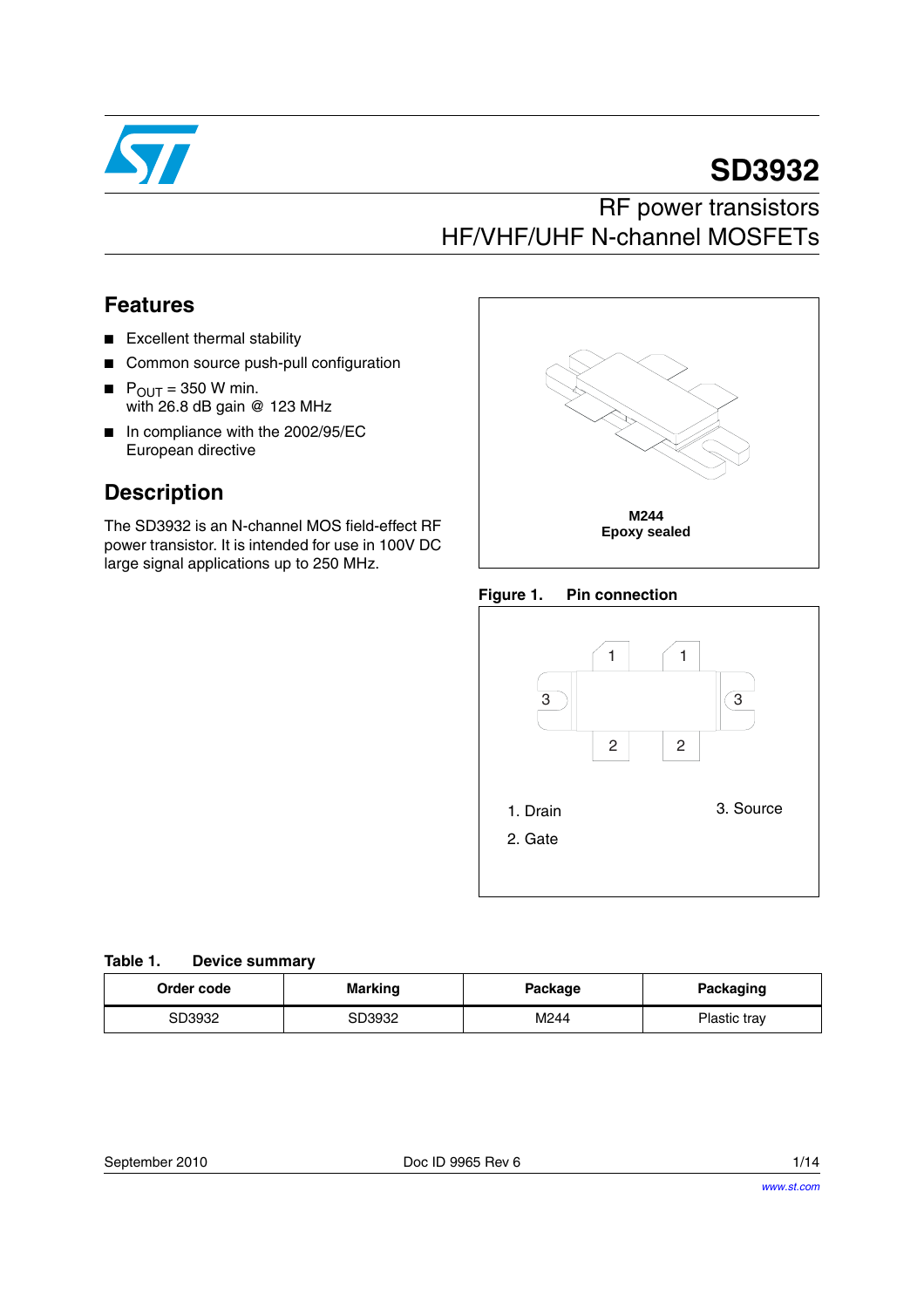

# **SD3932**

### RF power transistors HF/VHF/UHF N-channel MOSFETs

### **Features**

- Excellent thermal stability
- Common source push-pull configuration
- $\blacksquare$  P<sub>OUT</sub> = 350 W min. with 26.8 dB gain @ 123 MHz
- In compliance with the 2002/95/EC European directive

### **Description**

The SD3932 is an N-channel MOS field-effect RF power transistor. It is intended for use in 100V DC large signal applications up to 250 MHz.



#### **Figure 1. Pin connection**



#### **Table 1. Device summary**

| <b>Marking</b><br>Order code |        | Package | Packaging    |  |
|------------------------------|--------|---------|--------------|--|
| SD3932                       | SD3932 | M244    | Plastic tray |  |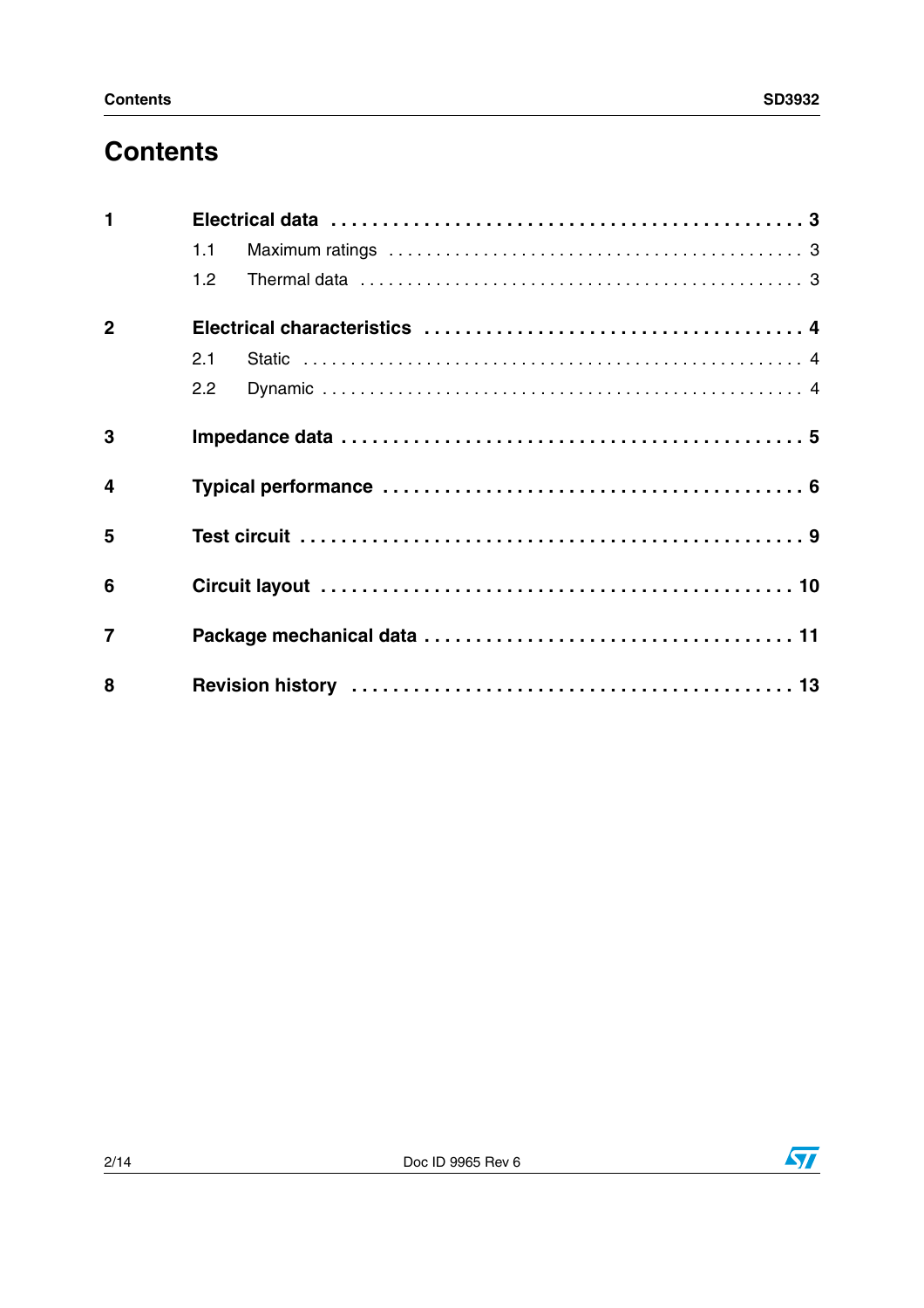## **Contents**

| $\blacksquare$ |                  |  |
|----------------|------------------|--|
|                | 1.1              |  |
|                | 1.2 <sub>1</sub> |  |
| $\mathbf{2}$   |                  |  |
|                | 2.1              |  |
|                | 2.2              |  |
| 3              |                  |  |
| $\overline{4}$ |                  |  |
| 5              |                  |  |
| 6              |                  |  |
| $\overline{7}$ |                  |  |
| 8              |                  |  |

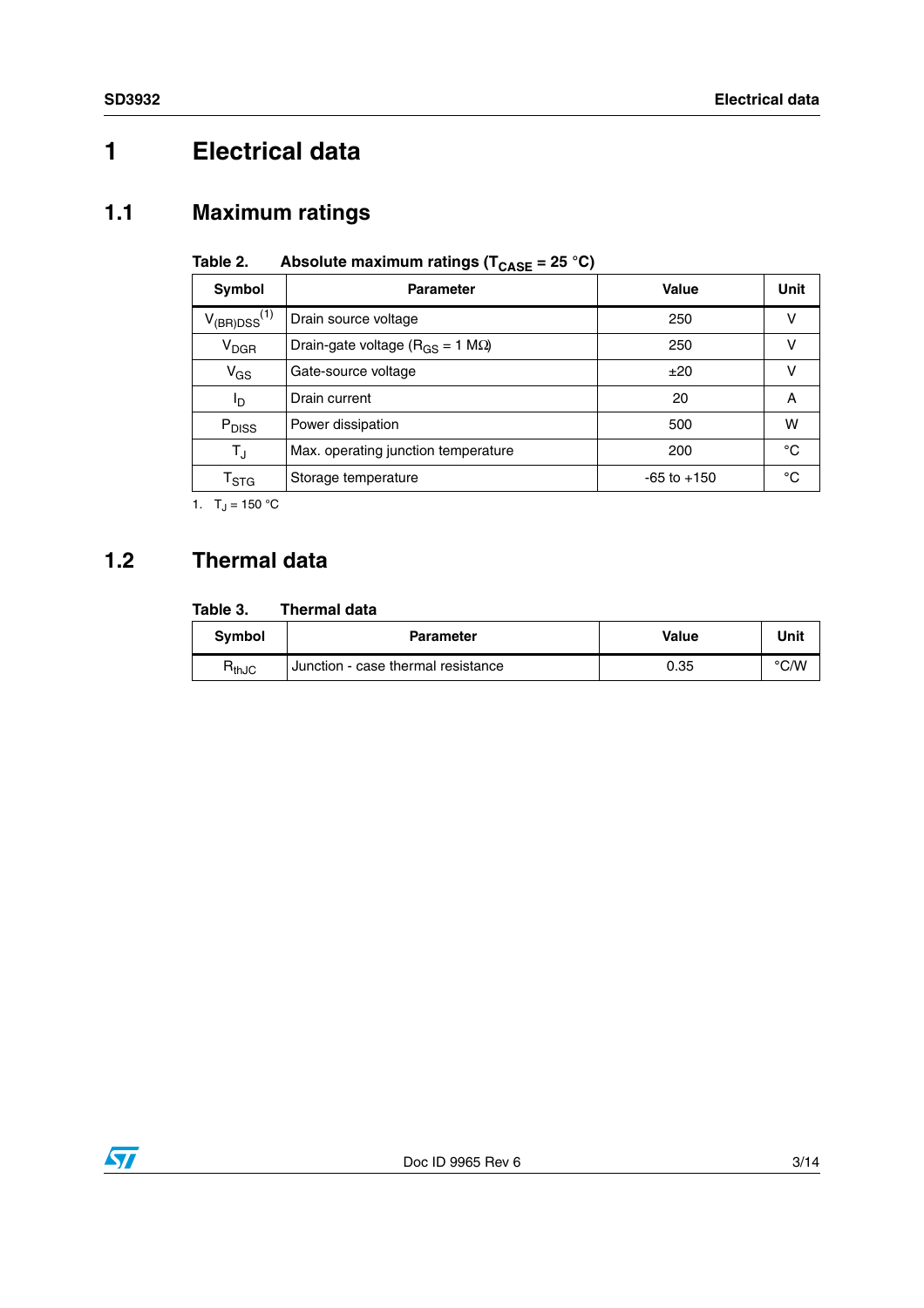## <span id="page-2-0"></span>**1 Electrical data**

### <span id="page-2-1"></span>**1.1 Maximum ratings**

| Symbol                      | <b>Parameter</b>                               | Value           | Unit |  |  |  |
|-----------------------------|------------------------------------------------|-----------------|------|--|--|--|
| $V_{(BR)DSS}^{(1)}$         | Drain source voltage                           | 250             | v    |  |  |  |
| V <sub>DGR</sub>            | Drain-gate voltage ( $R_{GS}$ = 1 M $\Omega$ ) | 250             | v    |  |  |  |
| $V_{GS}$                    | Gate-source voltage                            | ±20             | ν    |  |  |  |
| Iр                          | Drain current                                  | 20              | A    |  |  |  |
| P <sub>DISS</sub>           | Power dissipation                              | 500             | w    |  |  |  |
| $T_{\sf J}$                 | Max. operating junction temperature            | 200             | °C   |  |  |  |
| $\mathsf{T}_{\textsf{STG}}$ | Storage temperature                            | $-65$ to $+150$ | °C   |  |  |  |
| $1 - 0.02$                  |                                                |                 |      |  |  |  |

| Table 2. | Absolute maximum ratings ( $T_{\text{CASE}} = 25 \text{ }^{\circ}\text{C}$ ) |  |
|----------|------------------------------------------------------------------------------|--|
|----------|------------------------------------------------------------------------------|--|

1.  $T_J = 150 °C$ 

### <span id="page-2-2"></span>**1.2 Thermal data**

#### **Table 3. Thermal data**

| Svmbol              | <b>Parameter</b>                     | <b>Value</b> | Unit |
|---------------------|--------------------------------------|--------------|------|
| $H_{\mathsf{thJC}}$ | l Junction - case thermal resistance | 0.35         | °C/W |

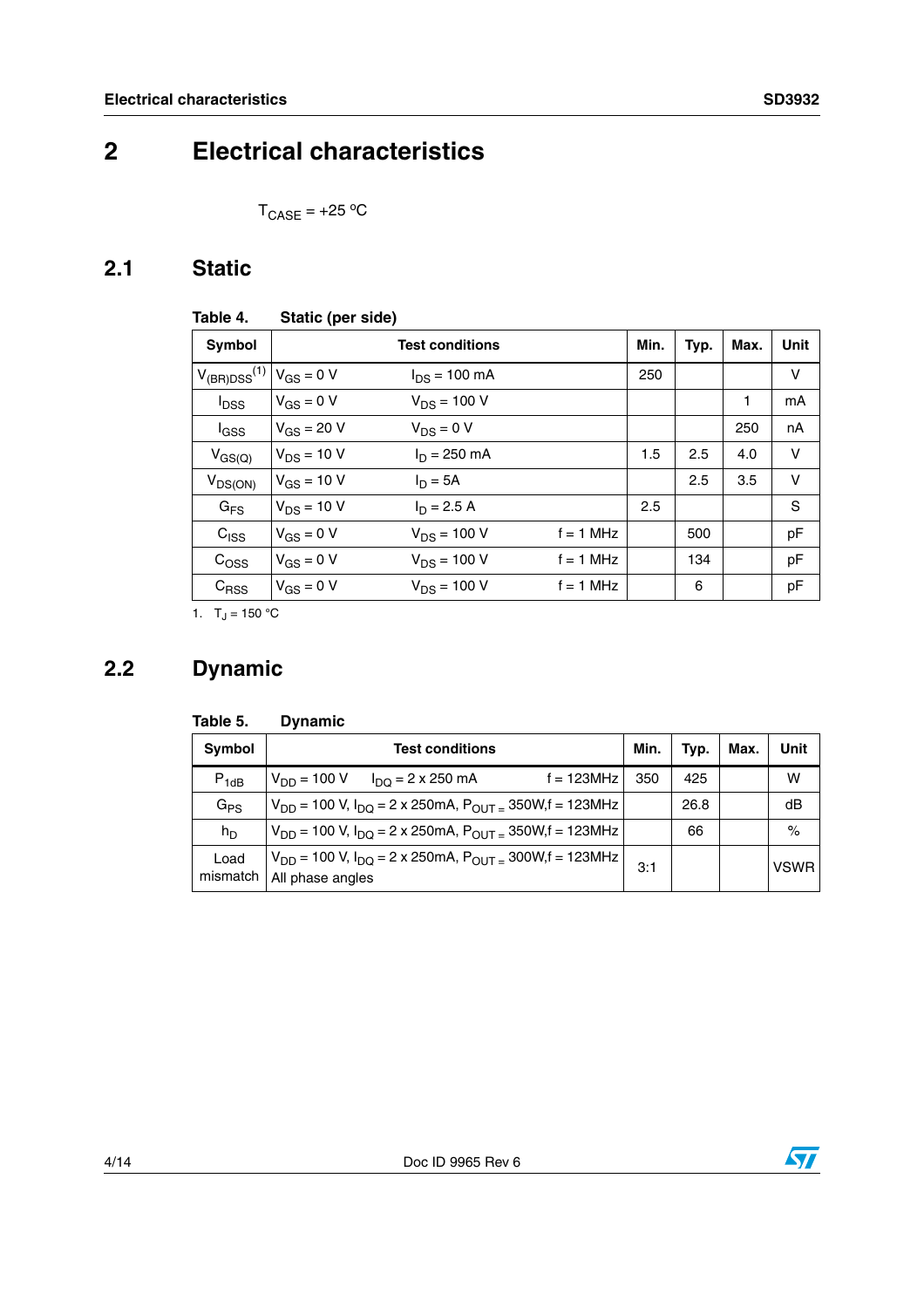## <span id="page-3-0"></span>**2 Electrical characteristics**

 $T_{\text{CASE}} = +25 \text{ °C}$ 

### <span id="page-3-1"></span>**2.1 Static**

<span id="page-3-3"></span>

| Table 4.                     |                 | Static (per side)      |             |      |      |             |        |
|------------------------------|-----------------|------------------------|-------------|------|------|-------------|--------|
| Symbol                       |                 | <b>Test conditions</b> | Min.        | Typ. | Max. | <b>Unit</b> |        |
| $V_{(BR)DSS}$ <sup>(1)</sup> | $V_{GS} = 0 V$  | $I_{DS}$ = 100 mA      |             | 250  |      |             | $\vee$ |
| <b>I</b> <sub>DSS</sub>      | $V_{GS} = 0 V$  | $V_{DS} = 100 V$       |             |      |      | 1           | mA     |
| $I_{GSS}$                    | $V_{GS} = 20 V$ | $V_{DS} = 0 V$         |             |      |      | 250         | nA     |
| $V_{GS(Q)}$                  | $V_{DS}$ = 10 V | $I_D = 250$ mA         |             | 1.5  | 2.5  | 4.0         | $\vee$ |
| $V_{DS(ON)}$                 | $V_{GS}$ = 10 V | $I_D = 5A$             |             |      | 2.5  | 3.5         | $\vee$ |
| $G_{FS}$                     | $V_{DS}$ = 10 V | $I_D = 2.5 A$          |             | 2.5  |      |             | S      |
| $C_{\text{ISS}}$             | $V_{GS} = 0 V$  | $V_{DS} = 100 V$       | $f = 1$ MHz |      | 500  |             | pF     |
| C <sub>OSS</sub>             | $V_{GS} = 0 V$  | $V_{DS}$ = 100 V       | $f = 1$ MHz |      | 134  |             | pF     |
| $C_{RSS}$                    | $V_{GS} = 0 V$  | $V_{DS}$ = 100 V       | $f = 1$ MHz |      | 6    |             | pF     |

1.  $T_J = 150 °C$ 

### <span id="page-3-2"></span>**2.2 Dynamic**

| <b>Symbol</b>    | <b>Test conditions</b>                                                                                  | Min. | Typ. | Max. | Unit        |
|------------------|---------------------------------------------------------------------------------------------------------|------|------|------|-------------|
| $P_{1dB}$        | $f = 123MHz$<br>$V_{DD} = 100 V$<br>$I_{\text{DO}} = 2 \times 250 \text{ mA}$                           | 350  | 425  |      | w           |
| $G_{PS}$         | $ V_{\text{DD}}$ = 100 V, I <sub>DO</sub> = 2 x 250mA, P <sub>OUT =</sub> 350W,f = 123MHz               |      | 26.8 |      | dB          |
| $h_D$            | $V_{DD}$ = 100 V, $I_{DO}$ = 2 x 250mA, $P_{OUT}$ = 350W, f = 123MHz                                    |      | 66   |      | $\%$        |
| Load<br>mismatch | $V_{DD}$ = 100 V, I <sub>DQ</sub> = 2 x 250mA, P <sub>OUT =</sub> 300W,f = 123MHz  <br>All phase angles | 3:1  |      |      | <b>VSWR</b> |

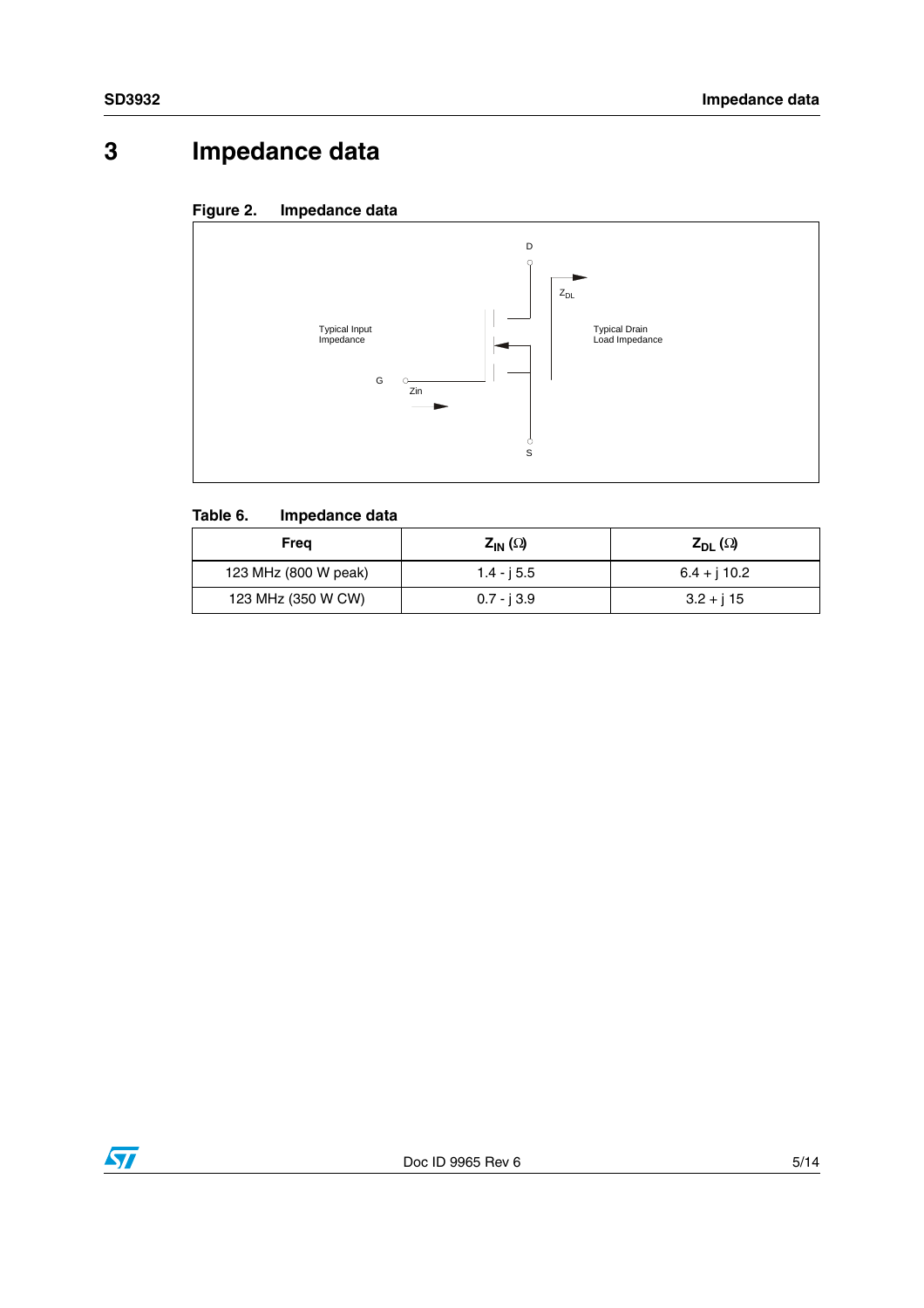## <span id="page-4-0"></span>**3 Impedance data**

#### **Figure 2. Impedance data**



#### **Table 6. Impedance data**

| Frea                 | $Z_{IN}(\Omega)$ | $Z_{DL}(\Omega)$ |
|----------------------|------------------|------------------|
| 123 MHz (800 W peak) | $1.4 - i 5.5$    | $6.4 + j$ 10.2   |
| 123 MHz (350 W CW)   | $0.7 - i 3.9$    | $3.2 + i 15$     |

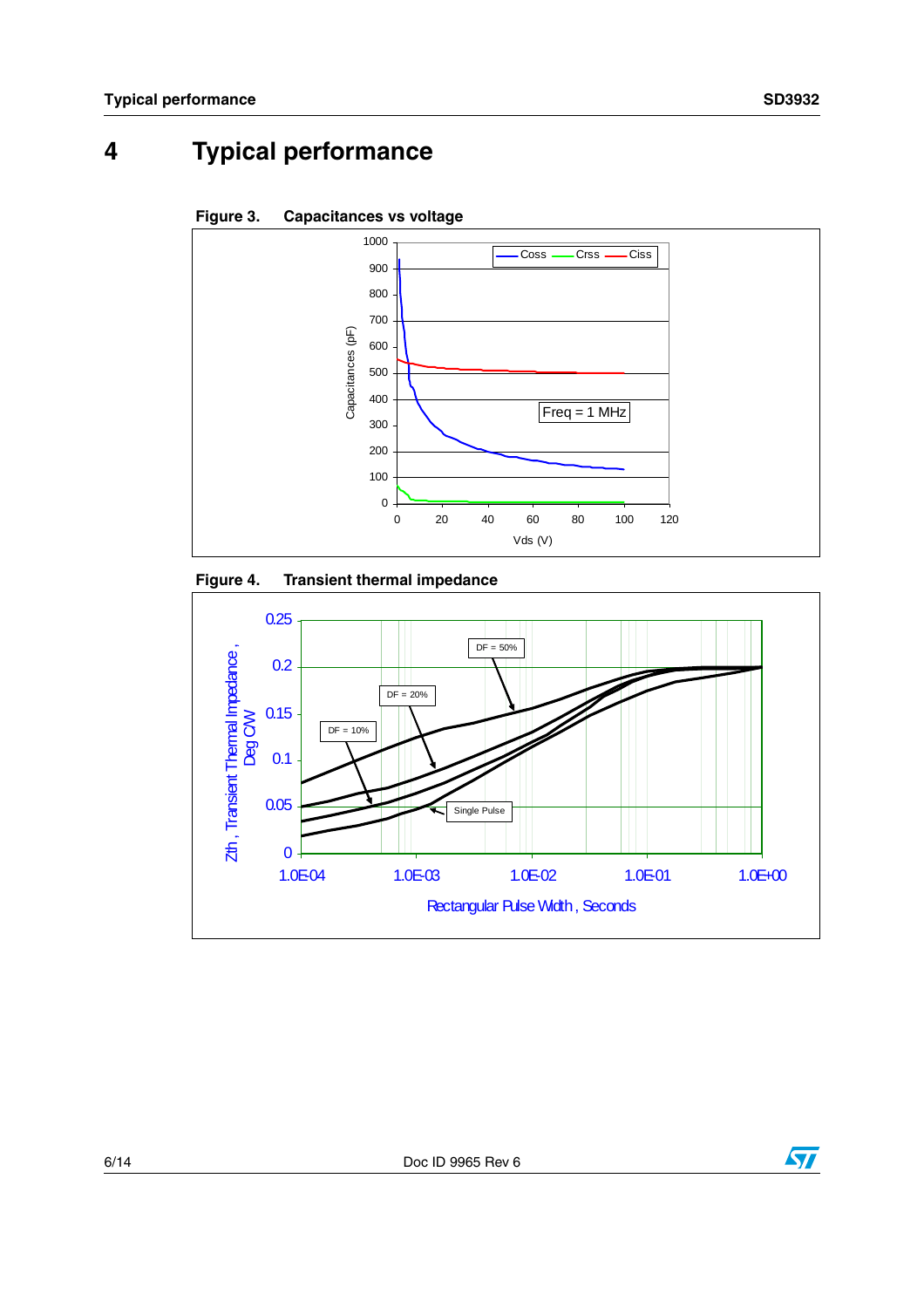## <span id="page-5-0"></span>**4 Typical performance**









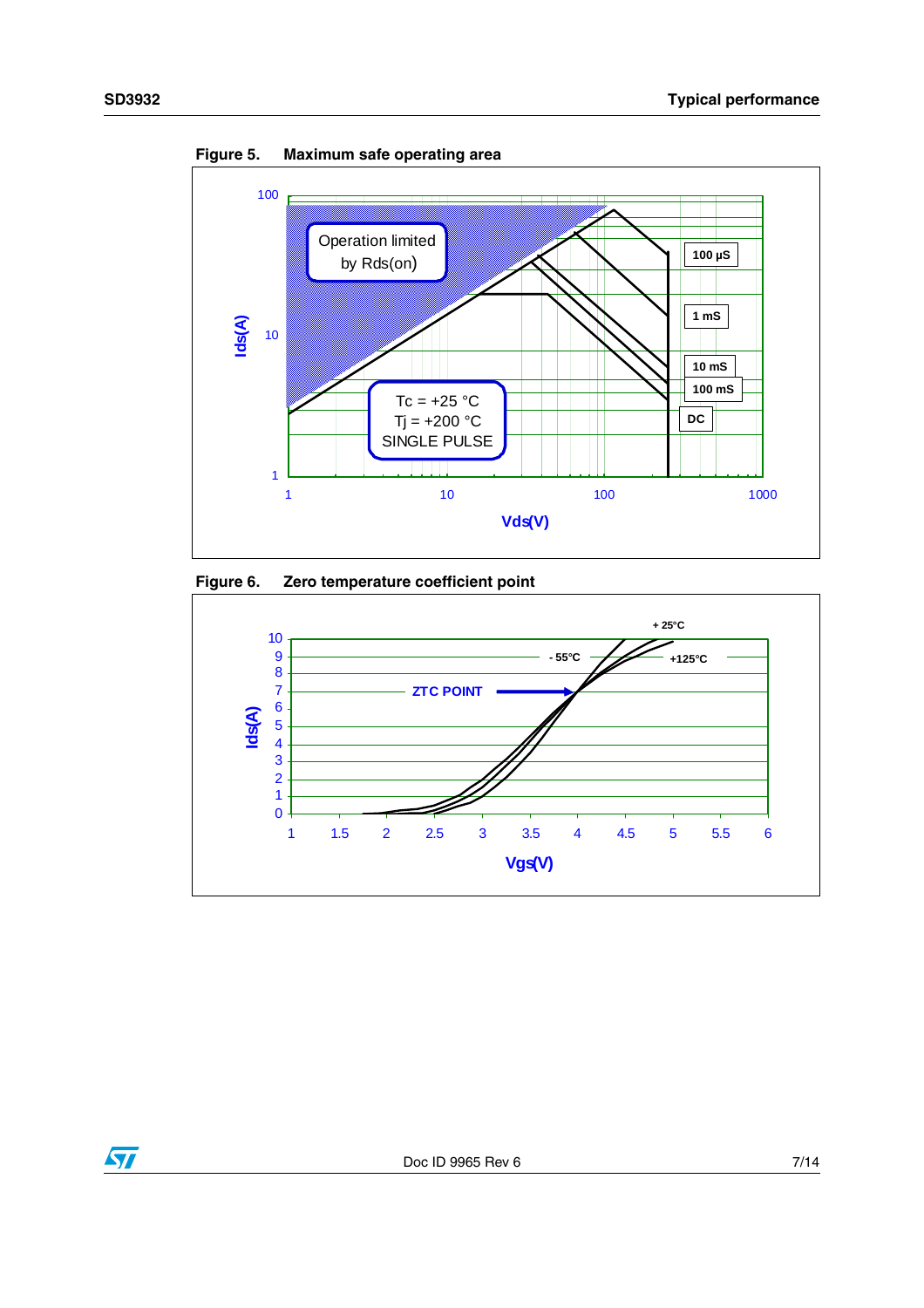

Figure 5. **Figure 5. Maximum safe operating area** 





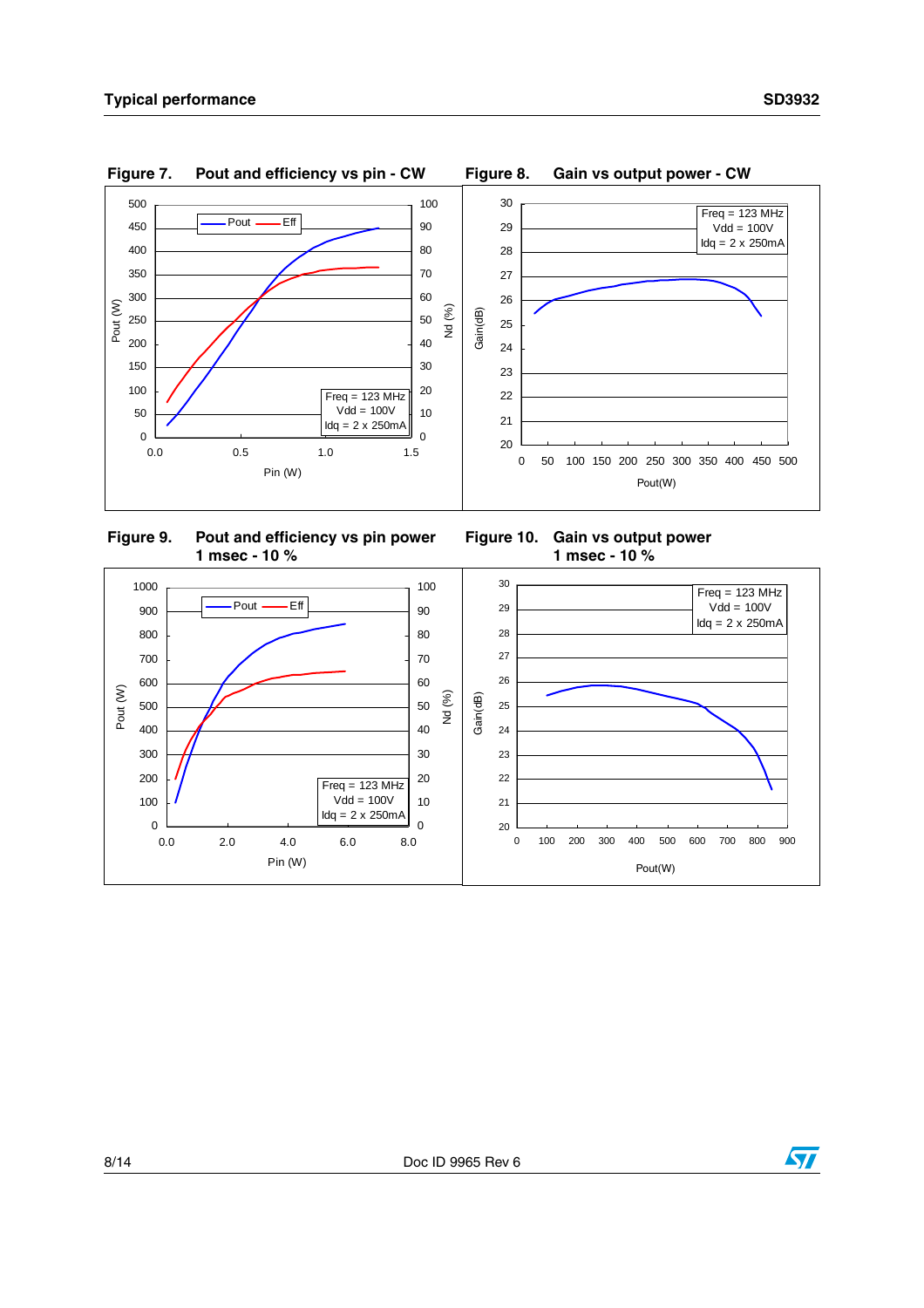<span id="page-7-0"></span>

<span id="page-7-2"></span> **Figure 9. Pout and efficiency vs pin power 1 msec - 10 %**

<span id="page-7-3"></span><span id="page-7-1"></span>



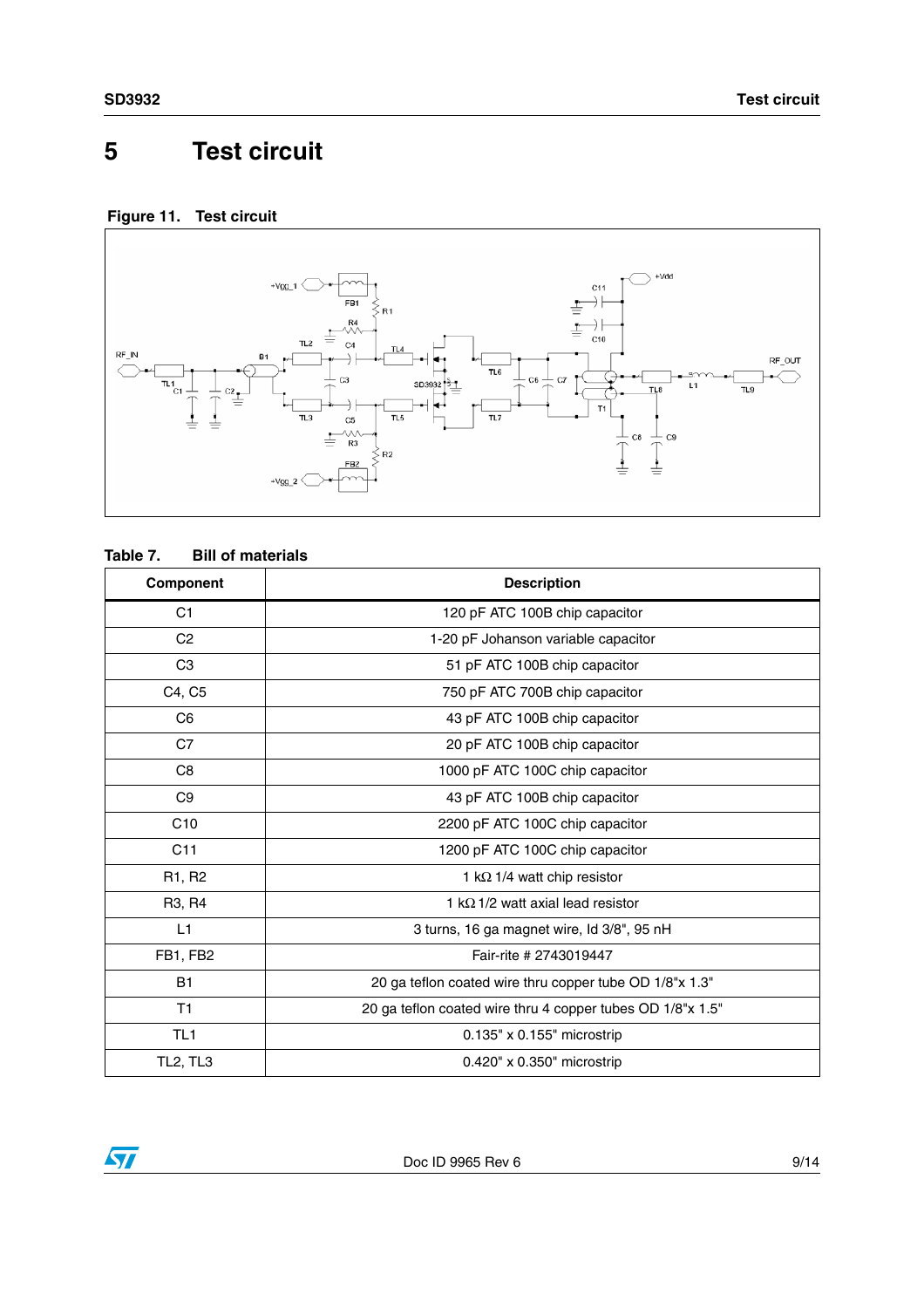## <span id="page-8-0"></span>**5 Test circuit**

#### **Figure 11. Test circuit**



#### **Table 7. Bill of materials**

| Component       | <b>Description</b>                                         |
|-----------------|------------------------------------------------------------|
| C <sub>1</sub>  | 120 pF ATC 100B chip capacitor                             |
| C <sub>2</sub>  | 1-20 pF Johanson variable capacitor                        |
| C <sub>3</sub>  | 51 pF ATC 100B chip capacitor                              |
| C4, C5          | 750 pF ATC 700B chip capacitor                             |
| C <sub>6</sub>  | 43 pF ATC 100B chip capacitor                              |
| C7              | 20 pF ATC 100B chip capacitor                              |
| C <sub>8</sub>  | 1000 pF ATC 100C chip capacitor                            |
| C <sub>9</sub>  | 43 pF ATC 100B chip capacitor                              |
| C10             | 2200 pF ATC 100C chip capacitor                            |
| C <sub>11</sub> | 1200 pF ATC 100C chip capacitor                            |
| R1, R2          | 1 k $\Omega$ 1/4 watt chip resistor                        |
| R3, R4          | 1 k $\Omega$ 1/2 watt axial lead resistor                  |
| L1              | 3 turns, 16 ga magnet wire, Id 3/8", 95 nH                 |
| FB1, FB2        | Fair-rite # 2743019447                                     |
| <b>B1</b>       | 20 ga teflon coated wire thru copper tube OD 1/8"x 1.3"    |
| T1              | 20 ga teflon coated wire thru 4 copper tubes OD 1/8"x 1.5" |
| TL <sub>1</sub> | 0.135" x 0.155" microstrip                                 |
| <b>TL2, TL3</b> | 0.420" x 0.350" microstrip                                 |

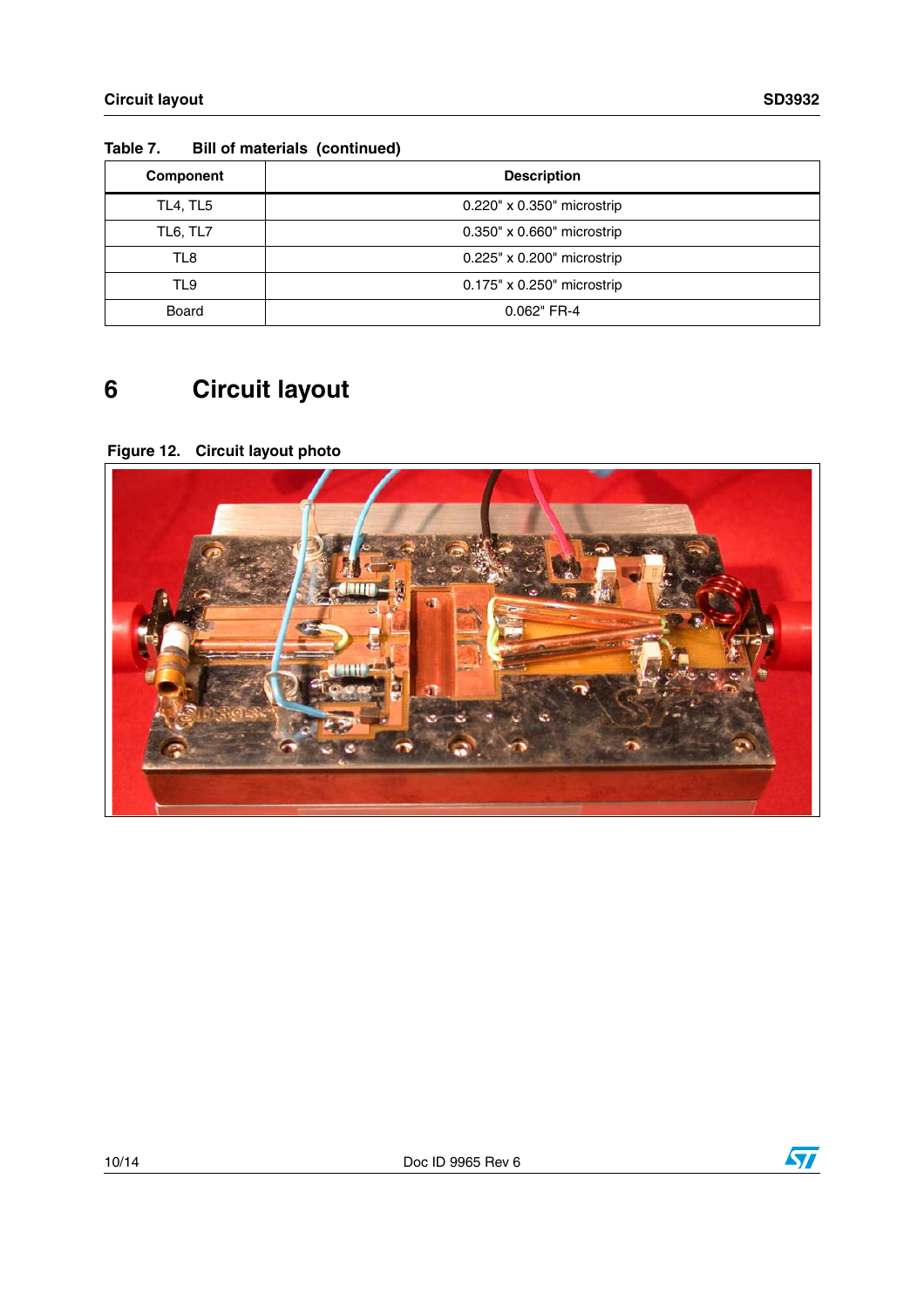| 1491V L.        | $1.11$ $1.1141$ $1.111$ $1.111$ $1.111$ $1.111$ $1.111$ |
|-----------------|---------------------------------------------------------|
| Component       | <b>Description</b>                                      |
| <b>TL4, TL5</b> | 0.220" x 0.350" microstrip                              |
| <b>TL6, TL7</b> | $0.350" \times 0.660"$ microstrip                       |
| TL8             | 0.225" x 0.200" microstrip                              |
| TL9             | 0.175" x 0.250" microstrip                              |
| Board           | 0.062" FR-4                                             |

#### **Table 7. Bill of materials (continued)**

## <span id="page-9-0"></span>**6 Circuit layout**

**Figure 12. Circuit layout photo**



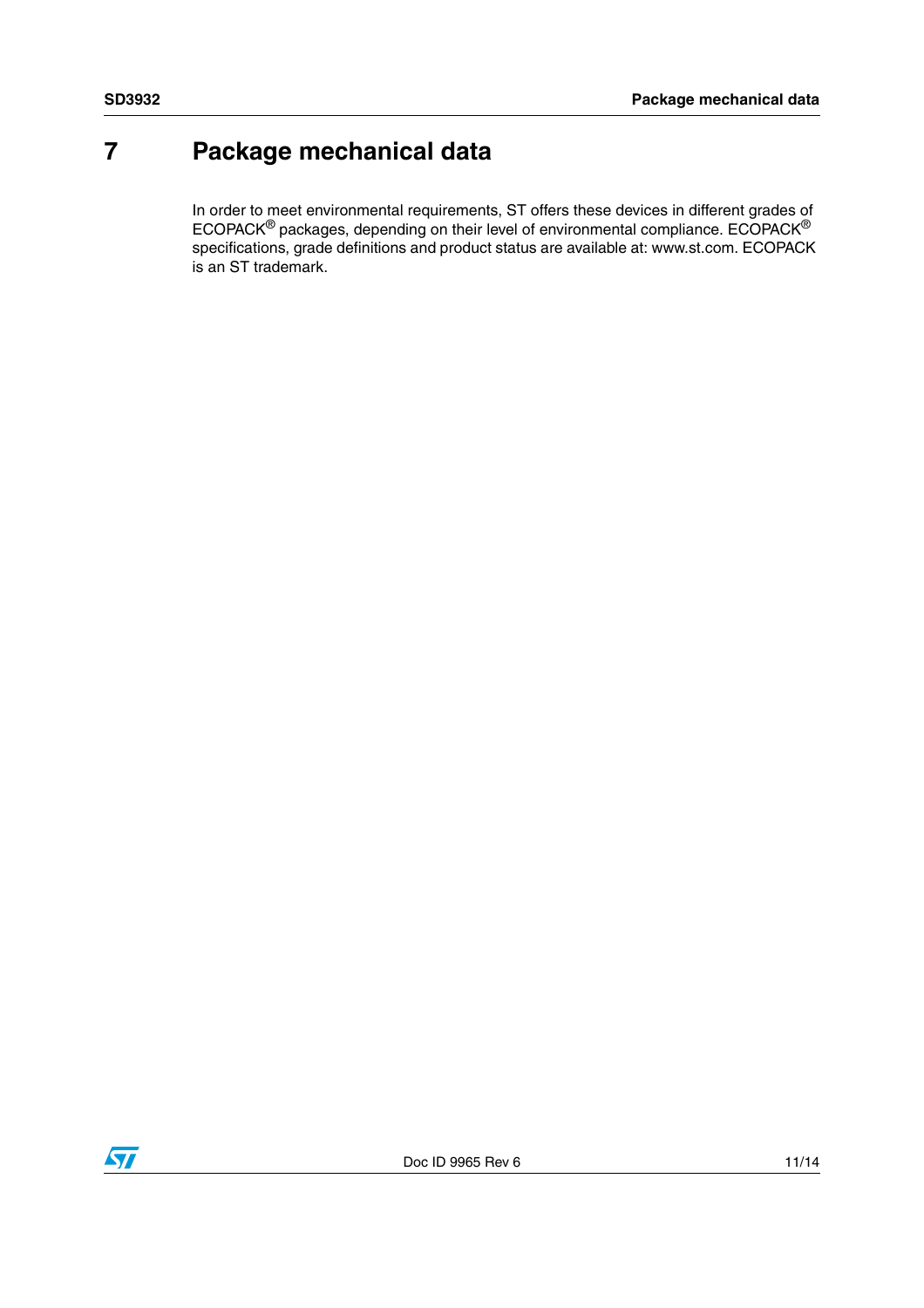### <span id="page-10-0"></span>**7 Package mechanical data**

In order to meet environmental requirements, ST offers these devices in different grades of ECOPACK® packages, depending on their level of environmental compliance. ECOPACK® specifications, grade definitions and product status are available at: www.st.com. ECOPACK is an ST trademark.

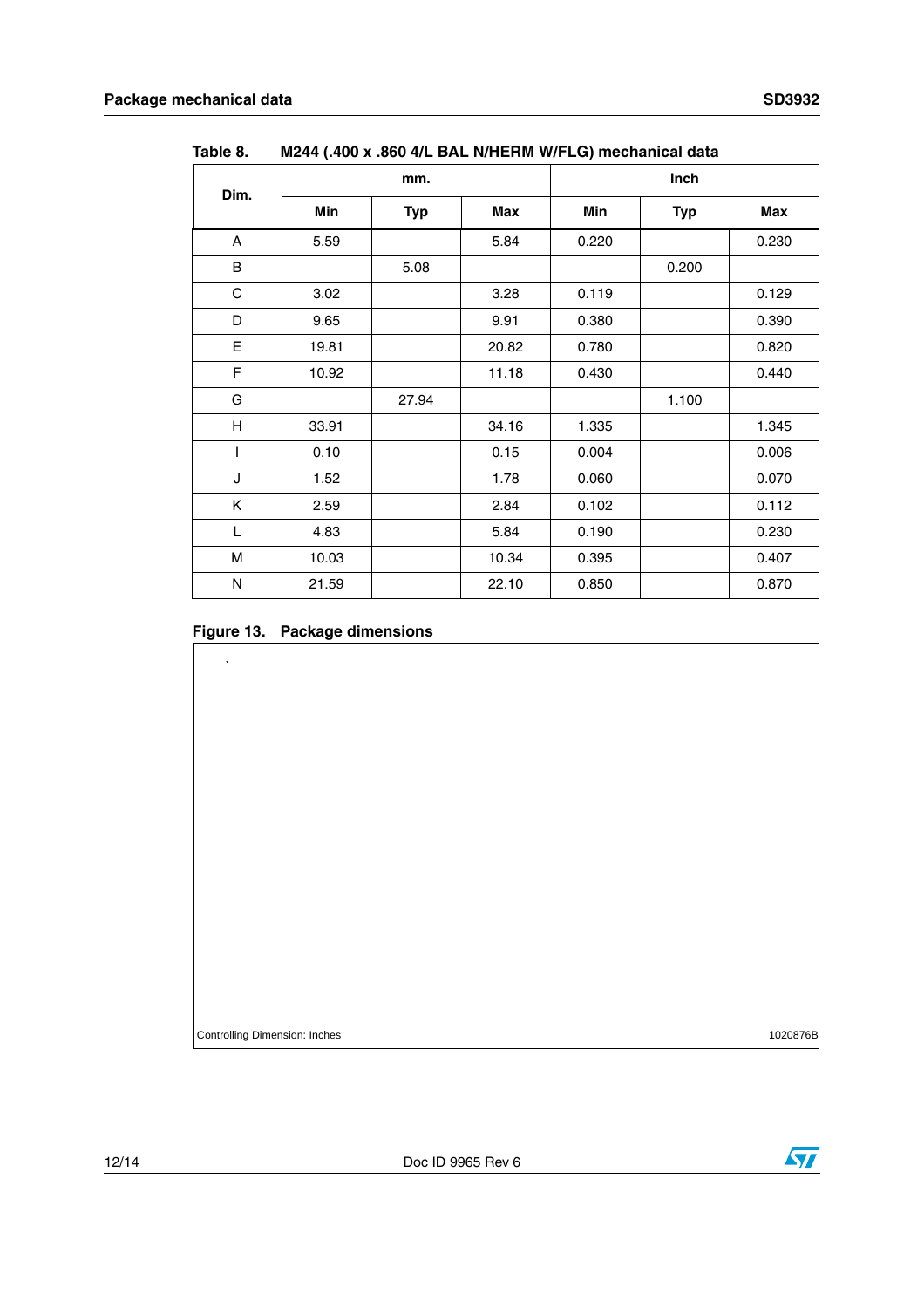| Dim.         |       | mm.        | Inch  |       |            |            |
|--------------|-------|------------|-------|-------|------------|------------|
|              | Min   | <b>Typ</b> | Max   | Min   | <b>Typ</b> | <b>Max</b> |
| A            | 5.59  |            | 5.84  | 0.220 |            | 0.230      |
| B            |       | 5.08       |       |       | 0.200      |            |
| C            | 3.02  |            | 3.28  | 0.119 |            | 0.129      |
| D            | 9.65  |            | 9.91  | 0.380 |            | 0.390      |
| Е            | 19.81 |            | 20.82 | 0.780 |            | 0.820      |
| F            | 10.92 |            | 11.18 | 0.430 |            | 0.440      |
| G            |       | 27.94      |       |       | 1.100      |            |
| H            | 33.91 |            | 34.16 | 1.335 |            | 1.345      |
| $\mathsf{I}$ | 0.10  |            | 0.15  | 0.004 |            | 0.006      |
| J            | 1.52  |            | 1.78  | 0.060 |            | 0.070      |
| Κ            | 2.59  |            | 2.84  | 0.102 |            | 0.112      |
| L            | 4.83  |            | 5.84  | 0.190 |            | 0.230      |
| М            | 10.03 |            | 10.34 | 0.395 |            | 0.407      |
| Ν            | 21.59 |            | 22.10 | 0.850 |            | 0.870      |

Table 8. **Table 8. M244 (.400 x .860 4/L BAL N/HERM W/FLG) mechanical data**

**Figure 13. Package dimensions**

l.

Controlling Dimension: Inches 1020876B

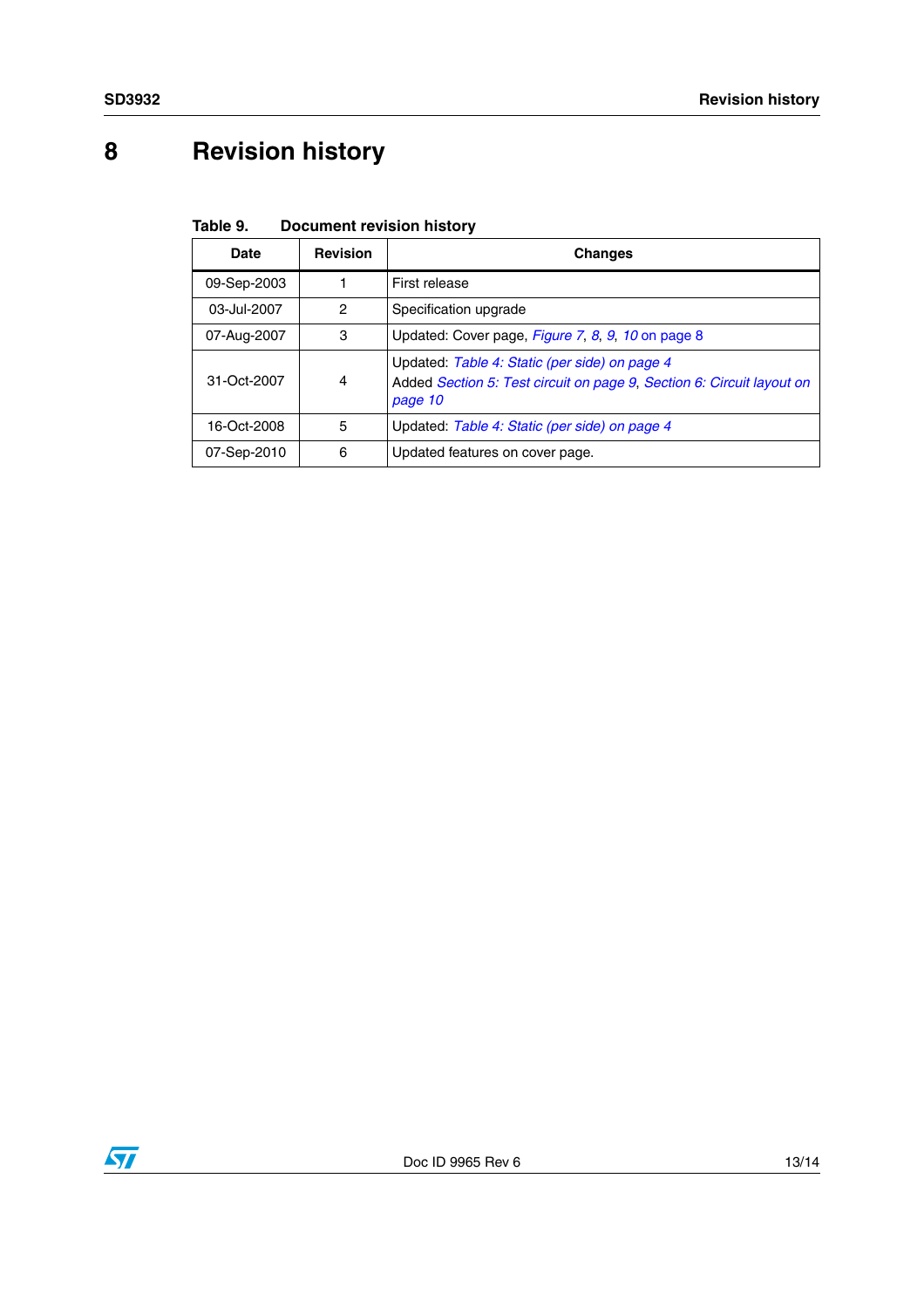## <span id="page-12-0"></span>**8 Revision history**

| Table 9. | <b>Document revision history</b> |  |
|----------|----------------------------------|--|
|          |                                  |  |

| Date        | <b>Revision</b> | <b>Changes</b>                                                                                                                    |
|-------------|-----------------|-----------------------------------------------------------------------------------------------------------------------------------|
| 09-Sep-2003 |                 | First release                                                                                                                     |
| 03-Jul-2007 | 2               | Specification upgrade                                                                                                             |
| 07-Aug-2007 | 3               | Updated: Cover page, Figure 7, 8, 9, 10 on page 8                                                                                 |
| 31-Oct-2007 | 4               | Updated: Table 4: Static (per side) on page 4<br>Added Section 5: Test circuit on page 9, Section 6: Circuit layout on<br>page 10 |
| 16-Oct-2008 | 5               | Updated: Table 4: Static (per side) on page 4                                                                                     |
| 07-Sep-2010 | 6               | Updated features on cover page.                                                                                                   |